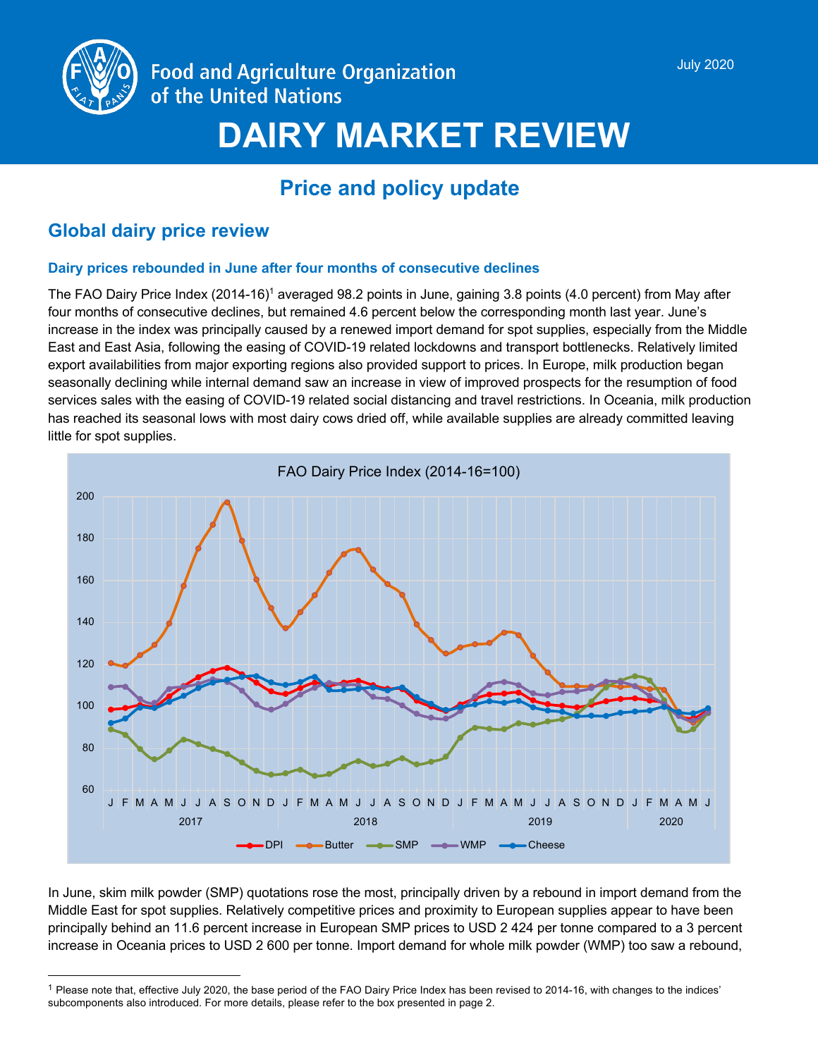

# **DAIRY MARKET REVIEW**

# **Price and policy update**

# **Global dairy price review**

# **Dairy prices rebounded in June after four months of consecutive declines**

The FAO Dairy Price Index (2014-16)<sup>1</sup> averaged 98.2 points in June, gaining 3.8 points (4.0 percent) from May after four months of consecutive declines, but remained 4.6 percent below the corresponding month last year. June's increase in the index was principally caused by a renewed import demand for spot supplies, especially from the Middle East and East Asia, following the easing of COVID-19 related lockdowns and transport bottlenecks. Relatively limited export availabilities from major exporting regions also provided support to prices. In Europe, milk production began seasonally declining while internal demand saw an increase in view of improved prospects for the resumption of food services sales with the easing of COVID-19 related social distancing and travel restrictions. In Oceania, milk production has reached its seasonal lows with most dairy cows dried off, while available supplies are already committed leaving little for spot supplies.



In June, skim milk powder (SMP) quotations rose the most, principally driven by a rebound in import demand from the Middle East for spot supplies. Relatively competitive prices and proximity to European supplies appear to have been principally behind an 11.6 percent increase in European SMP prices to USD 2 424 per tonne compared to a 3 percent increase in Oceania prices to USD 2 600 per tonne. Import demand for whole milk powder (WMP) too saw a rebound,

 $1$  Please note that, effective July 2020, the base period of the FAO Dairy Price Index has been revised to 2014-16, with changes to the indices' subcomponents also introduced. For more details, please refer to the box presented in page 2.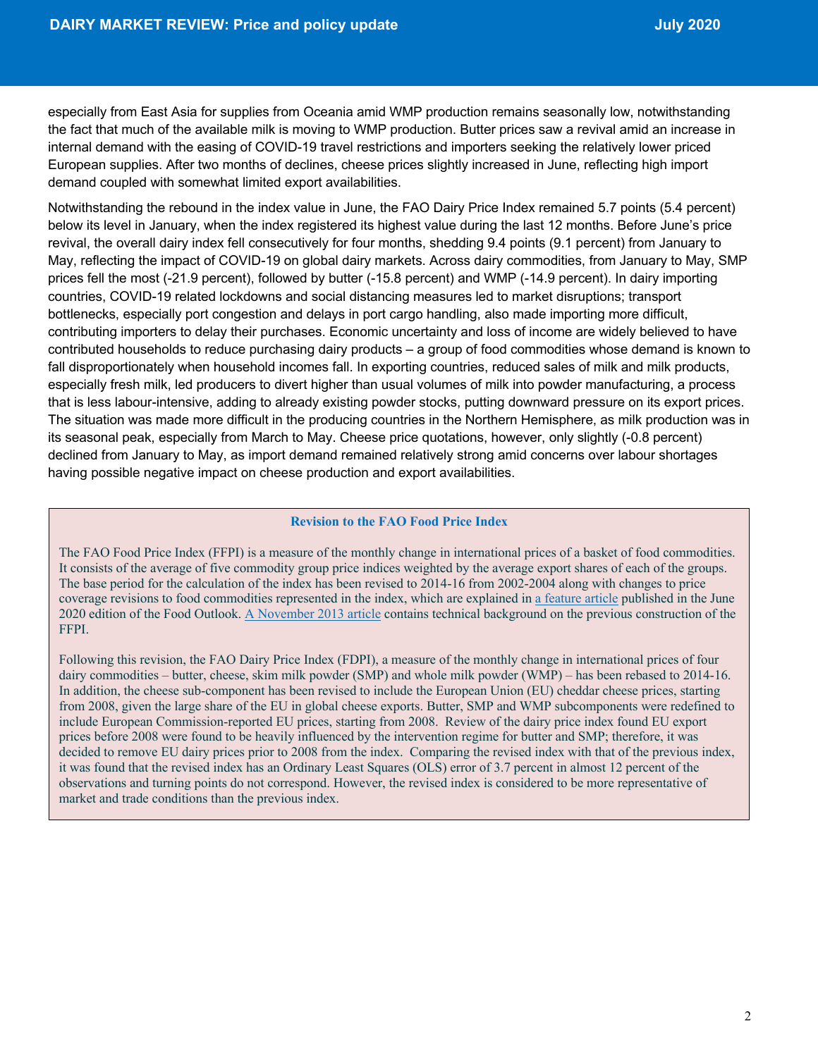especially from East Asia for supplies from Oceania amid WMP production remains seasonally low, notwithstanding the fact that much of the available milk is moving to WMP production. Butter prices saw a revival amid an increase in internal demand with the easing of COVID-19 travel restrictions and importers seeking the relatively lower priced European supplies. After two months of declines, cheese prices slightly increased in June, reflecting high import demand coupled with somewhat limited export availabilities.

Notwithstanding the rebound in the index value in June, the FAO Dairy Price Index remained 5.7 points (5.4 percent) below its level in January, when the index registered its highest value during the last 12 months. Before June's price revival, the overall dairy index fell consecutively for four months, shedding 9.4 points (9.1 percent) from January to May, reflecting the impact of COVID-19 on global dairy markets. Across dairy commodities, from January to May, SMP prices fell the most (-21.9 percent), followed by butter (-15.8 percent) and WMP (-14.9 percent). In dairy importing countries, COVID-19 related lockdowns and social distancing measures led to market disruptions; transport bottlenecks, especially port congestion and delays in port cargo handling, also made importing more difficult, contributing importers to delay their purchases. Economic uncertainty and loss of income are widely believed to have contributed households to reduce purchasing dairy products – a group of food commodities whose demand is known to fall disproportionately when household incomes fall. In exporting countries, reduced sales of milk and milk products, especially fresh milk, led producers to divert higher than usual volumes of milk into powder manufacturing, a process that is less labour-intensive, adding to already existing powder stocks, putting downward pressure on its export prices. The situation was made more difficult in the producing countries in the Northern Hemisphere, as milk production was in its seasonal peak, especially from March to May. Cheese price quotations, however, only slightly (-0.8 percent) declined from January to May, as import demand remained relatively strong amid concerns over labour shortages having possible negative impact on cheese production and export availabilities.

#### **Revision to the FAO Food Price Index**

The FAO Food Price Index (FFPI) is a measure of the monthly change in international prices of a basket of food commodities. It consists of the average of five commodity group price indices weighted by the average export shares of each of the groups. The base period for the calculation of the index has been revised to 2014-16 from 2002-2004 along with changes to price coverage revisions to food commodities represented in the index, which are explained in a feature article published in the June 2020 edition of the Food Outlook. A November 2013 article contains technical background on the previous construction of the FFPI.

Following this revision, the FAO Dairy Price Index (FDPI), a measure of the monthly change in international prices of four dairy commodities – butter, cheese, skim milk powder (SMP) and whole milk powder (WMP) – has been rebased to 2014-16. In addition, the cheese sub-component has been revised to include the European Union (EU) cheddar cheese prices, starting from 2008, given the large share of the EU in global cheese exports. Butter, SMP and WMP subcomponents were redefined to include European Commission-reported EU prices, starting from 2008. Review of the dairy price index found EU export prices before 2008 were found to be heavily influenced by the intervention regime for butter and SMP; therefore, it was decided to remove EU dairy prices prior to 2008 from the index. Comparing the revised index with that of the previous index, it was found that the revised index has an Ordinary Least Squares (OLS) error of 3.7 percent in almost 12 percent of the observations and turning points do not correspond. However, the revised index is considered to be more representative of market and trade conditions than the previous index.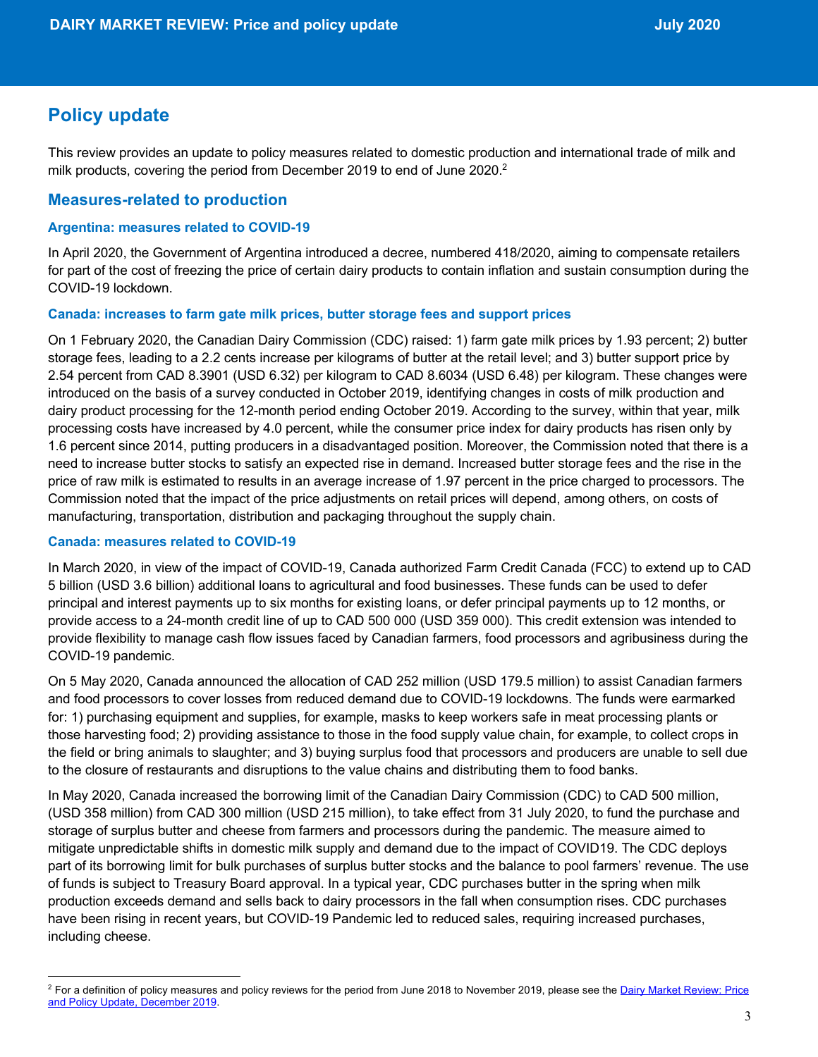# **Policy update**

This review provides an update to policy measures related to domestic production and international trade of milk and milk products, covering the period from December 2019 to end of June 2020.<sup>2</sup>

# **Measures-related to production**

#### **Argentina: measures related to COVID-19**

In April 2020, the Government of Argentina introduced a decree, numbered 418/2020, aiming to compensate retailers for part of the cost of freezing the price of certain dairy products to contain inflation and sustain consumption during the COVID-19 lockdown.

#### **Canada: increases to farm gate milk prices, butter storage fees and support prices**

On 1 February 2020, the Canadian Dairy Commission (CDC) raised: 1) farm gate milk prices by 1.93 percent; 2) butter storage fees, leading to a 2.2 cents increase per kilograms of butter at the retail level; and 3) butter support price by 2.54 percent from CAD 8.3901 (USD 6.32) per kilogram to CAD 8.6034 (USD 6.48) per kilogram. These changes were introduced on the basis of a survey conducted in October 2019, identifying changes in costs of milk production and dairy product processing for the 12-month period ending October 2019. According to the survey, within that year, milk processing costs have increased by 4.0 percent, while the consumer price index for dairy products has risen only by 1.6 percent since 2014, putting producers in a disadvantaged position. Moreover, the Commission noted that there is a need to increase butter stocks to satisfy an expected rise in demand. Increased butter storage fees and the rise in the price of raw milk is estimated to results in an average increase of 1.97 percent in the price charged to processors. The Commission noted that the impact of the price adjustments on retail prices will depend, among others, on costs of manufacturing, transportation, distribution and packaging throughout the supply chain.

#### **Canada: measures related to COVID-19**

In March 2020, in view of the impact of COVID-19, Canada authorized Farm Credit Canada (FCC) to extend up to CAD 5 billion (USD 3.6 billion) additional loans to agricultural and food businesses. These funds can be used to defer principal and interest payments up to six months for existing loans, or defer principal payments up to 12 months, or provide access to a 24-month credit line of up to CAD 500 000 (USD 359 000). This credit extension was intended to provide flexibility to manage cash flow issues faced by Canadian farmers, food processors and agribusiness during the COVID-19 pandemic.

On 5 May 2020, Canada announced the allocation of CAD 252 million (USD 179.5 million) to assist Canadian farmers and food processors to cover losses from reduced demand due to COVID-19 lockdowns. The funds were earmarked for: 1) purchasing equipment and supplies, for example, masks to keep workers safe in meat processing plants or those harvesting food; 2) providing assistance to those in the food supply value chain, for example, to collect crops in the field or bring animals to slaughter; and 3) buying surplus food that processors and producers are unable to sell due to the closure of restaurants and disruptions to the value chains and distributing them to food banks.

In May 2020, Canada increased the borrowing limit of the Canadian Dairy Commission (CDC) to CAD 500 million, (USD 358 million) from CAD 300 million (USD 215 million), to take effect from 31 July 2020, to fund the purchase and storage of surplus butter and cheese from farmers and processors during the pandemic. The measure aimed to mitigate unpredictable shifts in domestic milk supply and demand due to the impact of COVID19. The CDC deploys part of its borrowing limit for bulk purchases of surplus butter stocks and the balance to pool farmers' revenue. The use of funds is subject to Treasury Board approval. In a typical year, CDC purchases butter in the spring when milk production exceeds demand and sells back to dairy processors in the fall when consumption rises. CDC purchases have been rising in recent years, but COVID-19 Pandemic led to reduced sales, requiring increased purchases, including cheese.

<sup>&</sup>lt;sup>2</sup> For a definition of policy measures and policy reviews for the period from June 2018 to November 2019, please see the Dairy Market Review: Price and Policy Update, December 2019.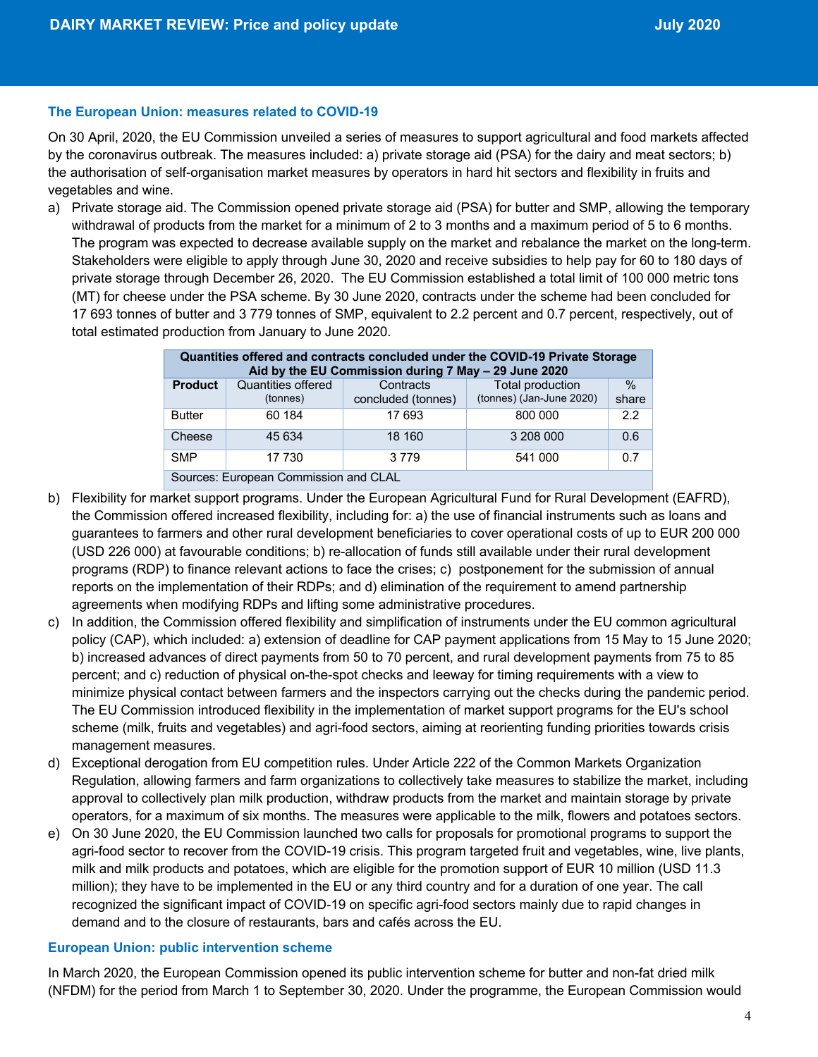#### **The European Union: measures related to COVID-19**

On 30 April, 2020, the EU Commission unveiled a series of measures to support agricultural and food markets affected by the coronavirus outbreak. The measures included: a) private storage aid (PSA) for the dairy and meat sectors; b) the authorisation of self-organisation market measures by operators in hard hit sectors and flexibility in fruits and vegetables and wine.

a) Private storage aid. The Commission opened private storage aid (PSA) for butter and SMP, allowing the temporary withdrawal of products from the market for a minimum of 2 to 3 months and a maximum period of 5 to 6 months. The program was expected to decrease available supply on the market and rebalance the market on the long-term. Stakeholders were eligible to apply through June 30, 2020 and receive subsidies to help pay for 60 to 180 days of private storage through December 26, 2020. The EU Commission established a total limit of 100 000 metric tons (MT) for cheese under the PSA scheme. By 30 June 2020, contracts under the scheme had been concluded for 17 693 tonnes of butter and 3 779 tonnes of SMP, equivalent to 2.2 percent and 0.7 percent, respectively, out of total estimated production from January to June 2020.

| Quantities offered and contracts concluded under the COVID-19 Private Storage<br>Aid by the EU Commission during 7 May - 29 June 2020 |                                |                                 |                                              |               |  |  |  |  |
|---------------------------------------------------------------------------------------------------------------------------------------|--------------------------------|---------------------------------|----------------------------------------------|---------------|--|--|--|--|
| <b>Product</b>                                                                                                                        | Quantities offered<br>(tonnes) | Contracts<br>concluded (tonnes) | Total production<br>(tonnes) (Jan-June 2020) | $\%$<br>share |  |  |  |  |
| <b>Butter</b>                                                                                                                         | 60 184                         | 17 693                          | 800 000                                      | 2.2           |  |  |  |  |
| Cheese                                                                                                                                | 45 634                         | 18 160                          | 3 208 000                                    | 0.6           |  |  |  |  |
| <b>SMP</b>                                                                                                                            | 17 730                         | 3 7 7 9                         | 541 000                                      | 0.7           |  |  |  |  |
| Sources: European Commission and CLAL                                                                                                 |                                |                                 |                                              |               |  |  |  |  |

- b) Flexibility for market support programs. Under the European Agricultural Fund for Rural Development (EAFRD), the Commission offered increased flexibility, including for: a) the use of financial instruments such as loans and guarantees to farmers and other rural development beneficiaries to cover operational costs of up to EUR 200 000 (USD 226 000) at favourable conditions; b) re-allocation of funds still available under their rural development programs (RDP) to finance relevant actions to face the crises; c) postponement for the submission of annual reports on the implementation of their RDPs; and d) elimination of the requirement to amend partnership agreements when modifying RDPs and lifting some administrative procedures.
- c) In addition, the Commission offered flexibility and simplification of instruments under the EU common agricultural policy (CAP), which included: a) extension of deadline for CAP payment applications from 15 May to 15 June 2020; b) increased advances of direct payments from 50 to 70 percent, and rural development payments from 75 to 85 percent; and c) reduction of physical on-the-spot checks and leeway for timing requirements with a view to minimize physical contact between farmers and the inspectors carrying out the checks during the pandemic period. The EU Commission introduced flexibility in the implementation of market support programs for the EU's school scheme (milk, fruits and vegetables) and agri-food sectors, aiming at reorienting funding priorities towards crisis management measures.
- d) Exceptional derogation from EU competition rules. Under Article 222 of the Common Markets Organization Regulation, allowing farmers and farm organizations to collectively take measures to stabilize the market, including approval to collectively plan milk production, withdraw products from the market and maintain storage by private operators, for a maximum of six months. The measures were applicable to the milk, flowers and potatoes sectors.
- e) On 30 June 2020, the EU Commission launched two calls for proposals for promotional programs to support the agri-food sector to recover from the COVID-19 crisis. This program targeted fruit and vegetables, wine, live plants, milk and milk products and potatoes, which are eligible for the promotion support of EUR 10 million (USD 11.3 million); they have to be implemented in the EU or any third country and for a duration of one year. The call recognized the significant impact of COVID-19 on specific agri-food sectors mainly due to rapid changes in demand and to the closure of restaurants, bars and cafés across the EU.

#### **European Union: public intervention scheme**

In March 2020, the European Commission opened its public intervention scheme for butter and non-fat dried milk (NFDM) for the period from March 1 to September 30, 2020. Under the programme, the European Commission would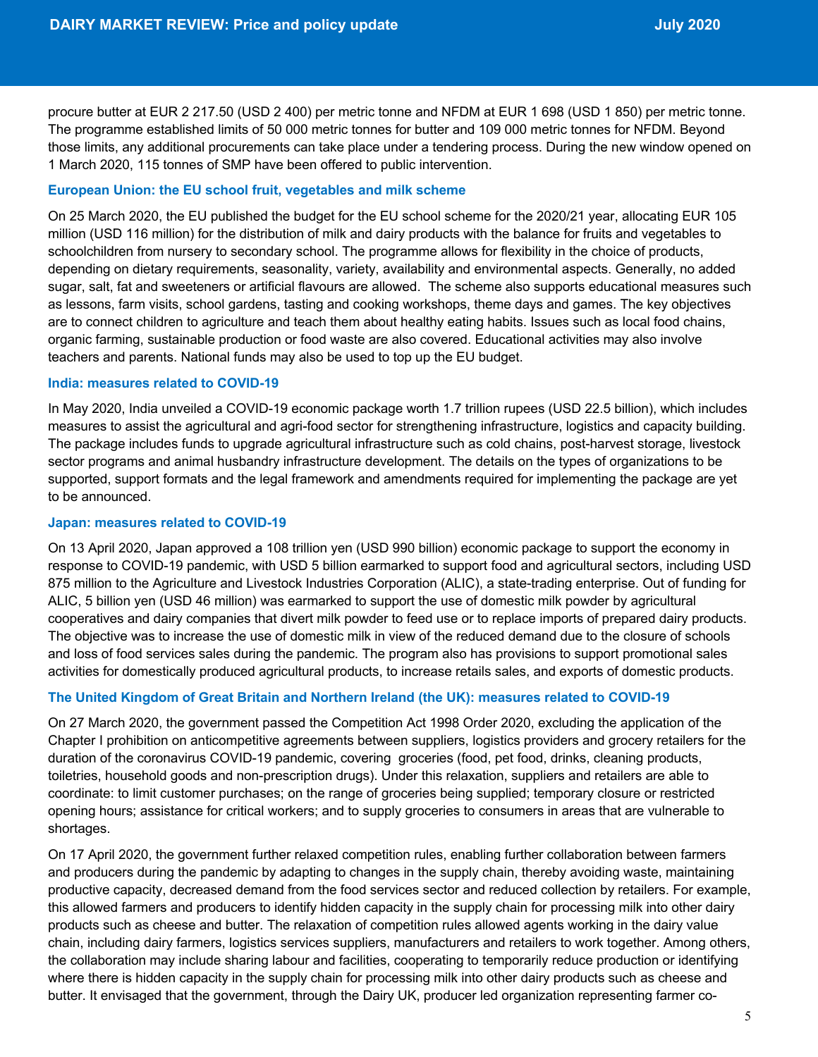procure butter at EUR 2 217.50 (USD 2 400) per metric tonne and NFDM at EUR 1 698 (USD 1 850) per metric tonne. The programme established limits of 50 000 metric tonnes for butter and 109 000 metric tonnes for NFDM. Beyond those limits, any additional procurements can take place under a tendering process. During the new window opened on 1 March 2020, 115 tonnes of SMP have been offered to public intervention.

#### **European Union: the EU school fruit, vegetables and milk scheme**

On 25 March 2020, the EU published the budget for the EU school scheme for the 2020/21 year, allocating EUR 105 million (USD 116 million) for the distribution of milk and dairy products with the balance for fruits and vegetables to schoolchildren from nursery to secondary school. The programme allows for flexibility in the choice of products, depending on dietary requirements, seasonality, variety, availability and environmental aspects. Generally, no added sugar, salt, fat and sweeteners or artificial flavours are allowed. The scheme also supports educational measures such as lessons, farm visits, school gardens, tasting and cooking workshops, theme days and games. The key objectives are to connect children to agriculture and teach them about healthy eating habits. Issues such as local food chains, organic farming, sustainable production or food waste are also covered. Educational activities may also involve teachers and parents. National funds may also be used to top up the EU budget.

#### **India: measures related to COVID-19**

In May 2020, India unveiled a COVID-19 economic package worth 1.7 trillion rupees (USD 22.5 billion), which includes measures to assist the agricultural and agri-food sector for strengthening infrastructure, logistics and capacity building. The package includes funds to upgrade agricultural infrastructure such as cold chains, post-harvest storage, livestock sector programs and animal husbandry infrastructure development. The details on the types of organizations to be supported, support formats and the legal framework and amendments required for implementing the package are yet to be announced.

### **Japan: measures related to COVID-19**

On 13 April 2020, Japan approved a 108 trillion yen (USD 990 billion) economic package to support the economy in response to COVID-19 pandemic, with USD 5 billion earmarked to support food and agricultural sectors, including USD 875 million to the Agriculture and Livestock Industries Corporation (ALIC), a state-trading enterprise. Out of funding for ALIC, 5 billion yen (USD 46 million) was earmarked to support the use of domestic milk powder by agricultural cooperatives and dairy companies that divert milk powder to feed use or to replace imports of prepared dairy products. The objective was to increase the use of domestic milk in view of the reduced demand due to the closure of schools and loss of food services sales during the pandemic. The program also has provisions to support promotional sales activities for domestically produced agricultural products, to increase retails sales, and exports of domestic products.

#### **The United Kingdom of Great Britain and Northern Ireland (the UK): measures related to COVID-19**

On 27 March 2020, the government passed the Competition Act 1998 Order 2020, excluding the application of the Chapter I prohibition on anticompetitive agreements between suppliers, logistics providers and grocery retailers for the duration of the coronavirus COVID-19 pandemic, covering groceries (food, pet food, drinks, cleaning products, toiletries, household goods and non-prescription drugs). Under this relaxation, suppliers and retailers are able to coordinate: to limit customer purchases; on the range of groceries being supplied; temporary closure or restricted opening hours; assistance for critical workers; and to supply groceries to consumers in areas that are vulnerable to shortages.

On 17 April 2020, the government further relaxed competition rules, enabling further collaboration between farmers and producers during the pandemic by adapting to changes in the supply chain, thereby avoiding waste, maintaining productive capacity, decreased demand from the food services sector and reduced collection by retailers. For example, this allowed farmers and producers to identify hidden capacity in the supply chain for processing milk into other dairy products such as cheese and butter. The relaxation of competition rules allowed agents working in the dairy value chain, including dairy farmers, logistics services suppliers, manufacturers and retailers to work together. Among others, the collaboration may include sharing labour and facilities, cooperating to temporarily reduce production or identifying where there is hidden capacity in the supply chain for processing milk into other dairy products such as cheese and butter. It envisaged that the government, through the Dairy UK, producer led organization representing farmer co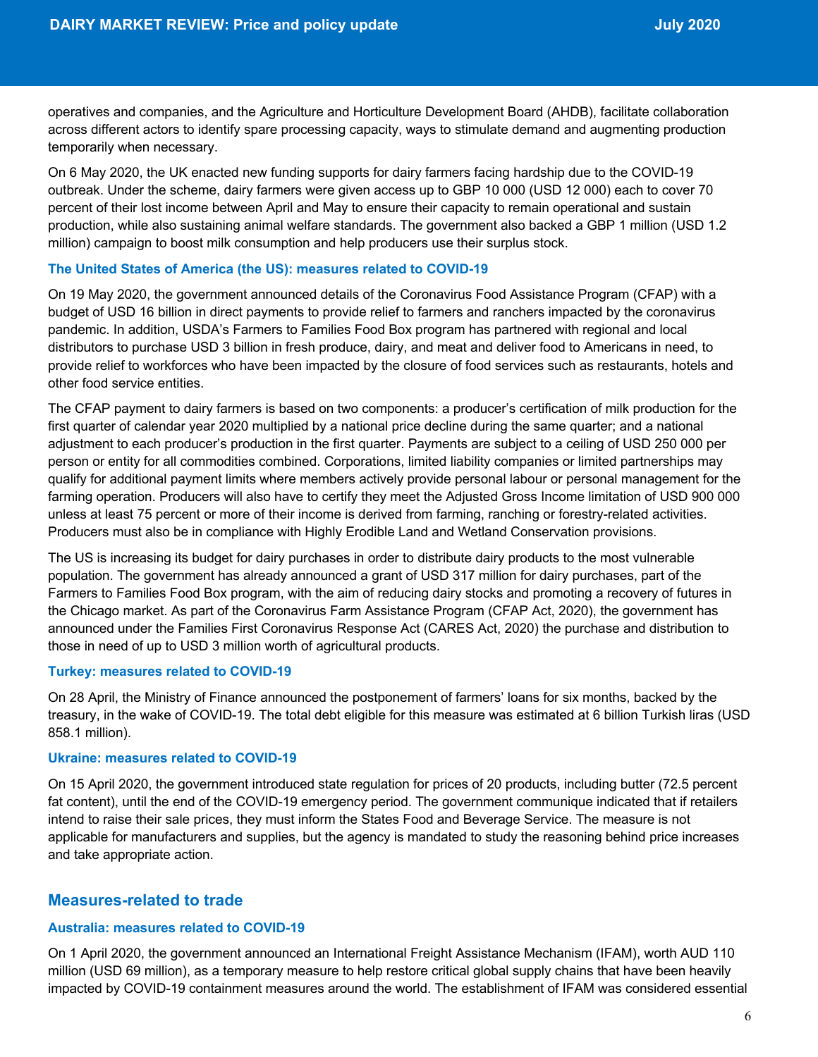operatives and companies, and the Agriculture and Horticulture Development Board (AHDB), facilitate collaboration across different actors to identify spare processing capacity, ways to stimulate demand and augmenting production temporarily when necessary.

On 6 May 2020, the UK enacted new funding supports for dairy farmers facing hardship due to the COVID-19 outbreak. Under the scheme, dairy farmers were given access up to GBP 10 000 (USD 12 000) each to cover 70 percent of their lost income between April and May to ensure their capacity to remain operational and sustain production, while also sustaining animal welfare standards. The government also backed a GBP 1 million (USD 1.2 million) campaign to boost milk consumption and help producers use their surplus stock.

#### **The United States of America (the US): measures related to COVID-19**

On 19 May 2020, the government announced details of the Coronavirus Food Assistance Program (CFAP) with a budget of USD 16 billion in direct payments to provide relief to farmers and ranchers impacted by the coronavirus pandemic. In addition, USDA's Farmers to Families Food Box program has partnered with regional and local distributors to purchase USD 3 billion in fresh produce, dairy, and meat and deliver food to Americans in need, to provide relief to workforces who have been impacted by the closure of food services such as restaurants, hotels and other food service entities.

The CFAP payment to dairy farmers is based on two components: a producer's certification of milk production for the first quarter of calendar year 2020 multiplied by a national price decline during the same quarter; and a national adjustment to each producer's production in the first quarter. Payments are subject to a ceiling of USD 250 000 per person or entity for all commodities combined. Corporations, limited liability companies or limited partnerships may qualify for additional payment limits where members actively provide personal labour or personal management for the farming operation. Producers will also have to certify they meet the Adjusted Gross Income limitation of USD 900 000 unless at least 75 percent or more of their income is derived from farming, ranching or forestry-related activities. Producers must also be in compliance with Highly Erodible Land and Wetland Conservation provisions.

The US is increasing its budget for dairy purchases in order to distribute dairy products to the most vulnerable population. The government has already announced a grant of USD 317 million for dairy purchases, part of the Farmers to Families Food Box program, with the aim of reducing dairy stocks and promoting a recovery of futures in the Chicago market. As part of the Coronavirus Farm Assistance Program (CFAP Act, 2020), the government has announced under the Families First Coronavirus Response Act (CARES Act, 2020) the purchase and distribution to those in need of up to USD 3 million worth of agricultural products.

#### **Turkey: measures related to COVID-19**

On 28 April, the Ministry of Finance announced the postponement of farmers' loans for six months, backed by the treasury, in the wake of COVID-19. The total debt eligible for this measure was estimated at 6 billion Turkish liras (USD 858.1 million).

#### **Ukraine: measures related to COVID-19**

On 15 April 2020, the government introduced state regulation for prices of 20 products, including butter (72.5 percent fat content), until the end of the COVID-19 emergency period. The government communique indicated that if retailers intend to raise their sale prices, they must inform the States Food and Beverage Service. The measure is not applicable for manufacturers and supplies, but the agency is mandated to study the reasoning behind price increases and take appropriate action.

## **Measures-related to trade**

#### **Australia: measures related to COVID-19**

On 1 April 2020, the government announced an International Freight Assistance Mechanism (IFAM), worth AUD 110 million (USD 69 million), as a temporary measure to help restore critical global supply chains that have been heavily impacted by COVID-19 containment measures around the world. The establishment of IFAM was considered essential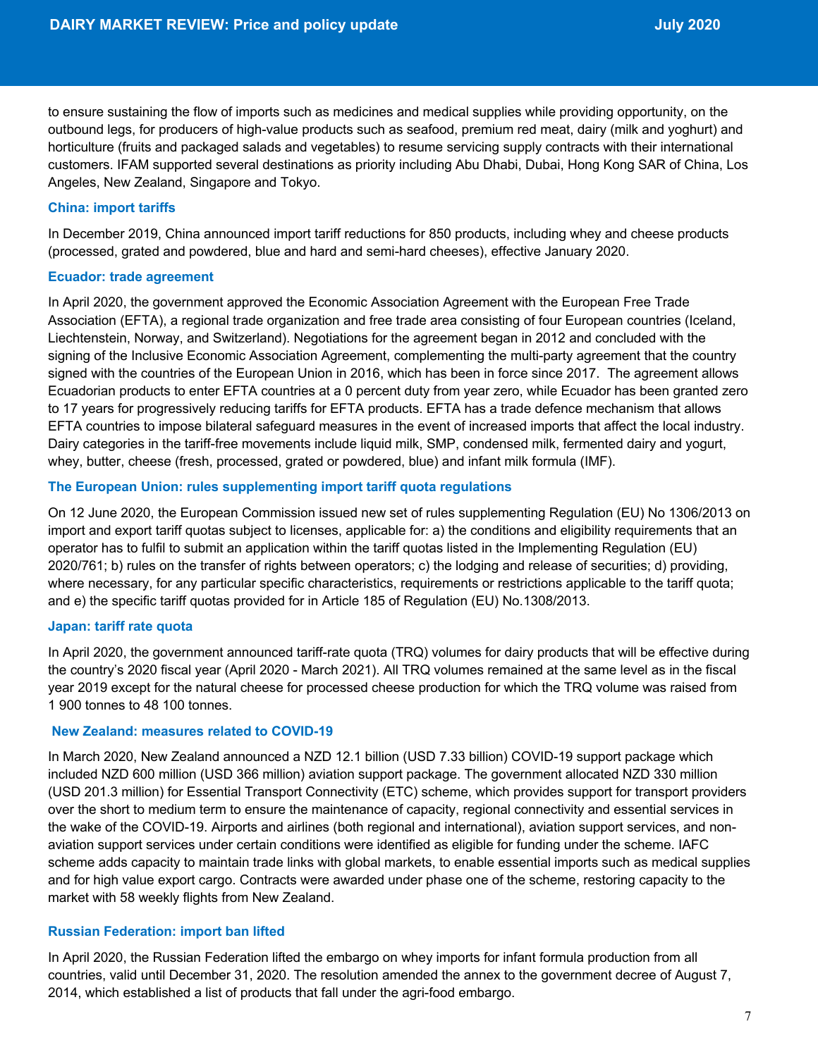to ensure sustaining the flow of imports such as medicines and medical supplies while providing opportunity, on the outbound legs, for producers of high-value products such as seafood, premium red meat, dairy (milk and yoghurt) and horticulture (fruits and packaged salads and vegetables) to resume servicing supply contracts with their international customers. IFAM supported several destinations as priority including Abu Dhabi, Dubai, Hong Kong SAR of China, Los Angeles, New Zealand, Singapore and Tokyo.

#### **China: import tariffs**

In December 2019, China announced import tariff reductions for 850 products, including whey and cheese products (processed, grated and powdered, blue and hard and semi-hard cheeses), effective January 2020.

#### **Ecuador: trade agreement**

In April 2020, the government approved the Economic Association Agreement with the European Free Trade Association (EFTA), a regional trade organization and free trade area consisting of four European countries (Iceland, Liechtenstein, Norway, and Switzerland). Negotiations for the agreement began in 2012 and concluded with the signing of the Inclusive Economic Association Agreement, complementing the multi-party agreement that the country signed with the countries of the European Union in 2016, which has been in force since 2017. The agreement allows Ecuadorian products to enter EFTA countries at a 0 percent duty from year zero, while Ecuador has been granted zero to 17 years for progressively reducing tariffs for EFTA products. EFTA has a trade defence mechanism that allows EFTA countries to impose bilateral safeguard measures in the event of increased imports that affect the local industry. Dairy categories in the tariff-free movements include liquid milk, SMP, condensed milk, fermented dairy and yogurt, whey, butter, cheese (fresh, processed, grated or powdered, blue) and infant milk formula (IMF).

#### **The European Union: rules supplementing import tariff quota regulations**

On 12 June 2020, the European Commission issued new set of rules supplementing Regulation (EU) No 1306/2013 on import and export tariff quotas subject to licenses, applicable for: a) the conditions and eligibility requirements that an operator has to fulfil to submit an application within the tariff quotas listed in the Implementing Regulation (EU) 2020/761; b) rules on the transfer of rights between operators; c) the lodging and release of securities; d) providing, where necessary, for any particular specific characteristics, requirements or restrictions applicable to the tariff quota; and e) the specific tariff quotas provided for in Article 185 of Regulation (EU) No.1308/2013.

#### **Japan: tariff rate quota**

In April 2020, the government announced tariff-rate quota (TRQ) volumes for dairy products that will be effective during the country's 2020 fiscal year (April 2020 - March 2021). All TRQ volumes remained at the same level as in the fiscal year 2019 except for the natural cheese for processed cheese production for which the TRQ volume was raised from 1 900 tonnes to 48 100 tonnes.

#### **New Zealand: measures related to COVID-19**

In March 2020, New Zealand announced a NZD 12.1 billion (USD 7.33 billion) COVID-19 support package which included NZD 600 million (USD 366 million) aviation support package. The government allocated NZD 330 million (USD 201.3 million) for Essential Transport Connectivity (ETC) scheme, which provides support for transport providers over the short to medium term to ensure the maintenance of capacity, regional connectivity and essential services in the wake of the COVID-19. Airports and airlines (both regional and international), aviation support services, and nonaviation support services under certain conditions were identified as eligible for funding under the scheme. IAFC scheme adds capacity to maintain trade links with global markets, to enable essential imports such as medical supplies and for high value export cargo. Contracts were awarded under phase one of the scheme, restoring capacity to the market with 58 weekly flights from New Zealand.

#### **Russian Federation: import ban lifted**

In April 2020, the Russian Federation lifted the embargo on whey imports for infant formula production from all countries, valid until December 31, 2020. The resolution amended the annex to the government decree of August 7, 2014, which established a list of products that fall under the agri-food embargo.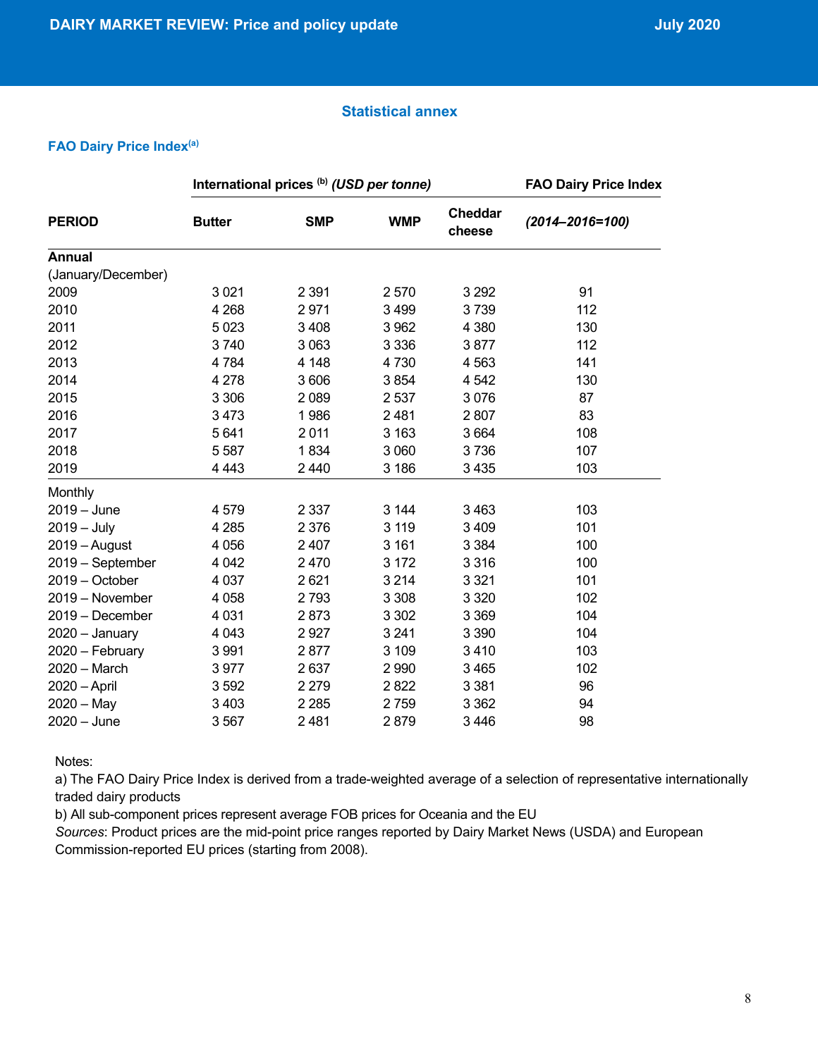## **Statistical annex**

#### **FAO Dairy Price Index(a)**

|                    | International prices (b) (USD per tonne) |            |            |                   | <b>FAO Dairy Price Index</b> |  |
|--------------------|------------------------------------------|------------|------------|-------------------|------------------------------|--|
| <b>PERIOD</b>      | <b>Butter</b>                            | <b>SMP</b> | <b>WMP</b> | Cheddar<br>cheese | $(2014 - 2016 = 100)$        |  |
| <b>Annual</b>      |                                          |            |            |                   |                              |  |
| (January/December) |                                          |            |            |                   |                              |  |
| 2009               | 3 0 21                                   | 2 3 9 1    | 2570       | 3 2 9 2           | 91                           |  |
| 2010               | 4 2 6 8                                  | 2971       | 3 4 9 9    | 3739              | 112                          |  |
| 2011               | 5023                                     | 3 4 0 8    | 3 9 6 2    | 4 3 8 0           | 130                          |  |
| 2012               | 3740                                     | 3 0 6 3    | 3 3 3 6    | 3877              | 112                          |  |
| 2013               | 4784                                     | 4 1 4 8    | 4730       | 4563              | 141                          |  |
| 2014               | 4 2 7 8                                  | 3 606      | 3854       | 4 5 4 2           | 130                          |  |
| 2015               | 3 3 0 6                                  | 2 0 8 9    | 2 5 3 7    | 3076              | 87                           |  |
| 2016               | 3473                                     | 1986       | 2481       | 2807              | 83                           |  |
| 2017               | 5641                                     | 2011       | 3 1 6 3    | 3664              | 108                          |  |
| 2018               | 5587                                     | 1834       | 3 0 6 0    | 3736              | 107                          |  |
| 2019               | 4 4 4 3                                  | 2 4 4 0    | 3 186      | 3 4 3 5           | 103                          |  |
| Monthly            |                                          |            |            |                   |                              |  |
| $2019 - June$      | 4579                                     | 2 3 3 7    | 3 1 4 4    | 3463              | 103                          |  |
| $2019 - July$      | 4 2 8 5                                  | 2 3 7 6    | 3 1 1 9    | 3 4 0 9           | 101                          |  |
| $2019 -$ August    | 4 0 5 6                                  | 2 4 0 7    | 3 1 6 1    | 3 3 8 4           | 100                          |  |
| 2019 - September   | 4 0 4 2                                  | 2 4 7 0    | 3 1 7 2    | 3316              | 100                          |  |
| 2019 - October     | 4 0 3 7                                  | 2621       | 3 2 1 4    | 3 3 2 1           | 101                          |  |
| 2019 - November    | 4 0 5 8                                  | 2793       | 3 3 0 8    | 3 3 2 0           | 102                          |  |
| 2019 - December    | 4 0 31                                   | 2873       | 3 3 0 2    | 3 3 6 9           | 104                          |  |
| $2020 - January$   | 4 0 4 3                                  | 2927       | 3 2 4 1    | 3 3 9 0           | 104                          |  |
| 2020 - February    | 3991                                     | 2877       | 3 1 0 9    | 3410              | 103                          |  |
| 2020 - March       | 3977                                     | 2637       | 2 9 9 0    | 3 4 6 5           | 102                          |  |
| 2020 - April       | 3592                                     | 2 2 7 9    | 2822       | 3 3 8 1           | 96                           |  |
| $2020 - May$       | 3 4 0 3                                  | 2 2 8 5    | 2759       | 3 3 6 2           | 94                           |  |
| $2020 - June$      | 3567                                     | 2481       | 2879       | 3446              | 98                           |  |

Notes:

a) The FAO Dairy Price Index is derived from a trade-weighted average of a selection of representative internationally traded dairy products

b) All sub-component prices represent average FOB prices for Oceania and the EU

*Sources*: Product prices are the mid-point price ranges reported by Dairy Market News (USDA) and European Commission-reported EU prices (starting from 2008).